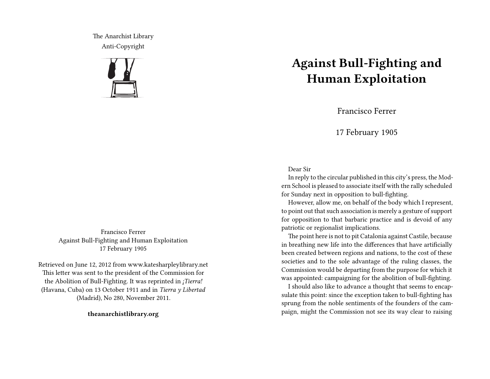The Anarchist Library Anti-Copyright



Francisco Ferrer Against Bull-Fighting and Human Exploitation 17 February 1905

Retrieved on June 12, 2012 from www.katesharpleylibrary.net This letter was sent to the president of the Commission for the Abolition of Bull-Fighting. It was reprinted in *¡Tierra!* (Havana, Cuba) on 13 October 1911 and in *Tierra y Libertad* (Madrid), No 280, November 2011.

**theanarchistlibrary.org**

## **Against Bull-Fighting and Human Exploitation**

Francisco Ferrer

17 February 1905

## Dear Sir

In reply to the circular published in this city's press, the Modern School is pleased to associate itself with the rally scheduled for Sunday next in opposition to bull-fighting.

However, allow me, on behalf of the body which I represent, to point out that such association is merely a gesture of support for opposition to that barbaric practice and is devoid of any patriotic or regionalist implications.

The point here is not to pit Catalonia against Castile, because in breathing new life into the differences that have artificially been created between regions and nations, to the cost of these societies and to the sole advantage of the ruling classes, the Commission would be departing from the purpose for which it was appointed: campaigning for the abolition of bull-fighting.

I should also like to advance a thought that seems to encapsulate this point: since the exception taken to bull-fighting has sprung from the noble sentiments of the founders of the campaign, might the Commission not see its way clear to raising